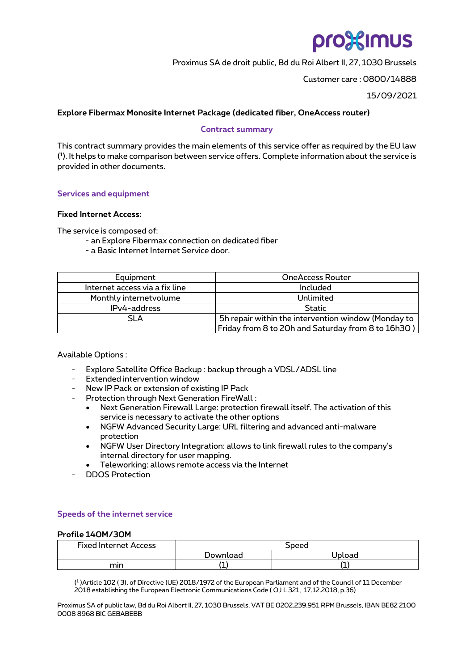# pro%imus

Proximus SA de droit public, Bd du Roi Albert II, 27, 1030 Brussels

Customer care : 0800/14888

15/09/2021

# **Explore Fibermax Monosite Internet Package (dedicated fiber, OneAccess router)**

## **Contract summary**

This contract summary provides the main elements of this service offer as required by the EU law ( 1 ). It helps to make comparison between service offers. Complete information about the service is provided in other documents.

# **Services and equipment**

# **Fixed Internet Access:**

The service is composed of:

- an Explore Fibermax connection on dedicated fiber
- a Basic Internet Internet Service door.

| Equipment                      | <b>OneAccess Router</b>                             |
|--------------------------------|-----------------------------------------------------|
| Internet access via a fix line | Included                                            |
| Monthly internetvolume         | Unlimited                                           |
| IPv4-address                   | Static                                              |
| <b>SLA</b>                     | 5h repair within the intervention window (Monday to |
|                                | Friday from 8 to 20h and Saturday from 8 to 16h30)  |

Available Options :

- Explore Satellite Office Backup : backup through a VDSL/ADSL line
- Extended intervention window
- New IP Pack or extension of existing IP Pack
- Protection through Next Generation FireWall:
	- Next Generation Firewall Large: protection firewall itself. The activation of this service is necessary to activate the other options
	- NGFW Advanced Security Large: URL filtering and advanced anti-malware protection
	- NGFW User Directory Integration: allows to link firewall rules to the company's internal directory for user mapping.
	- Teleworking: allows remote access via the Internet
- DDOS Protection

# **Speeds of the internet service**

#### **Profile 140M/30M**

| <b>Fixed Internet Access</b> | Speed    |        |  |
|------------------------------|----------|--------|--|
|                              | Jownload | Jploac |  |
| mın                          |          |        |  |

( 1 )Article 102 ( 3), of Directive (UE) 2018/1972 of the European Parliament and of the Council of 11 December 2018 establishing the European Electronic Communications Code ( OJ L 321, 17.12.2018, p.36)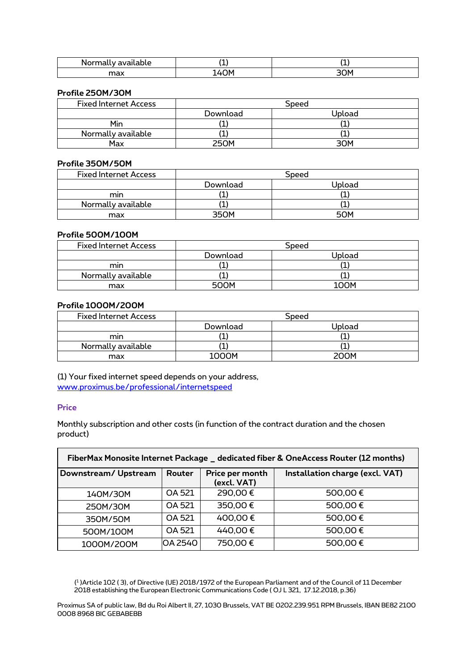| $ -$<br>.<br>ivailable<br>ונזעי<br>ш. | $\epsilon$<br>. . |               |
|---------------------------------------|-------------------|---------------|
| max                                   | ٦Ν                | $\sim$<br>30M |

#### **Profile 250M/30M**

| <b>Fixed Internet Access</b> | Speed         |        |  |
|------------------------------|---------------|--------|--|
|                              | Download      | Upload |  |
| Min                          | <u>. на п</u> |        |  |
| Normally available           |               |        |  |
| Max                          | <b>250M</b>   | ₹∩м    |  |

# **Profile 350M/50M**

| <b>Fixed Internet Access</b> | Speed    |        |  |
|------------------------------|----------|--------|--|
|                              | Download | Jpload |  |
| mın                          |          |        |  |
| Normally available           |          |        |  |
| max                          | วร∩м     | 50M    |  |

# **Profile 500M/100M**

| <b>Fixed Internet Access</b> | Speed       |        |  |
|------------------------------|-------------|--------|--|
|                              | Download    | Upload |  |
| mın                          |             |        |  |
| Normally available           |             |        |  |
| max                          | <b>SOOM</b> | INNI   |  |

## **Profile 1000M/200M**

| <b>Fixed Internet Access</b> | Speed    |        |  |
|------------------------------|----------|--------|--|
|                              | Download | Upload |  |
| mın                          |          |        |  |
| Normally available           |          |        |  |
| max                          | 1000M    | 200M   |  |

(1) Your fixed internet speed depends on your address, [www.proximus.be/professional/internetspeed](https://eur03.safelinks.protection.outlook.com/?url=http%3A%2F%2Fwww.proximus.be%2Fprofessional%2Finternetspeed&data=04%7C01%7Cnathalie.huyghebaert%40proximus.com%7C8519c66d39a34b75cf2f08d9fb7dec1f%7Ce7ab81b21e844bf79dcbb6fec01ed138%7C0%7C0%7C637817340510632558%7CUnknown%7CTWFpbGZsb3d8eyJWIjoiMC4wLjAwMDAiLCJQIjoiV2luMzIiLCJBTiI6Ik1haWwiLCJXVCI6Mn0%3D%7C3000&sdata=oG%2Bl0qABVUYm2iSRVI%2FI84SW6EwXNBpUNwfGQ86hMdE%3D&reserved=0)

#### **Price**

 $\mathsf{r}$ 

Monthly subscription and other costs (in function of the contract duration and the chosen product)

| FiberMax Monosite Internet Package _ dedicated fiber & OneAccess Router (12 months) |         |                                |                                 |  |  |
|-------------------------------------------------------------------------------------|---------|--------------------------------|---------------------------------|--|--|
| Downstream/Upstream                                                                 | Router  | Price per month<br>(excl. VAT) | Installation charge (excl. VAT) |  |  |
| 140M/30M                                                                            | OA 521  | 290,00€                        | 500,00€                         |  |  |
| 250M/30M                                                                            | OA 521  | 350,00€                        | 500,00€                         |  |  |
| 350M/50M                                                                            | OA 521  | 400,00€                        | 500,00€                         |  |  |
| 500M/100M                                                                           | OA 521  | 440,00€                        | 500,00€                         |  |  |
| 1000M/200M                                                                          | OA 2540 | 750,00€                        | 500,00€                         |  |  |

( 1 )Article 102 ( 3), of Directive (UE) 2018/1972 of the European Parliament and of the Council of 11 December 2018 establishing the European Electronic Communications Code ( OJ L 321, 17.12.2018, p.36)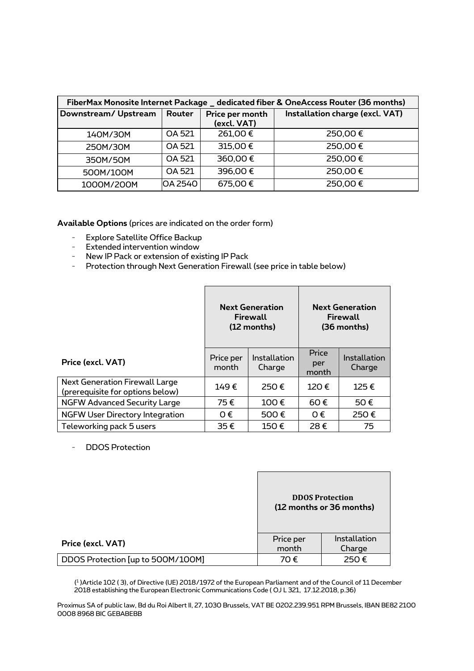| FiberMax Monosite Internet Package _ dedicated fiber & OneAccess Router (36 months) |         |                                |                                 |  |  |
|-------------------------------------------------------------------------------------|---------|--------------------------------|---------------------------------|--|--|
| Downstream/Upstream                                                                 | Router  | Price per month<br>(excl. VAT) | Installation charge (excl. VAT) |  |  |
| 140M/30M                                                                            | OA 521  | 261,00€                        | 250,00€                         |  |  |
| 250M/30M                                                                            | OA 521  | 315,00€                        | 250,00€                         |  |  |
| 350M/50M                                                                            | OA 521  | 360,00€                        | 250,00€                         |  |  |
| 500M/100M                                                                           | OA 521  | 396,00€                        | 250,00€                         |  |  |
| 1000M/200M                                                                          | OA 2540 | 675,00€                        | 250,00€                         |  |  |

**Available Options** (prices are indicated on the order form)

- Explore Satellite Office Backup
- Extended intervention window
- New IP Pack or extension of existing IP Pack
- Protection through Next Generation Firewall (see price in table below)

|                                                                           | <b>Next Generation</b><br>Firewall<br>(12 months) |                        | <b>Next Generation</b><br>Firewall<br>(36 months) |                        |
|---------------------------------------------------------------------------|---------------------------------------------------|------------------------|---------------------------------------------------|------------------------|
| Price (excl. VAT)                                                         | Price per<br>month                                | Installation<br>Charge | Price<br>per<br>month                             | Installation<br>Charge |
| <b>Next Generation Firewall Large</b><br>(prerequisite for options below) | 149€                                              | 250€                   | 120€                                              | 125€                   |
| <b>NGFW Advanced Security Large</b>                                       | 75€                                               | 100€                   | 60€                                               | 50€                    |
| <b>NGFW User Directory Integration</b>                                    | O€                                                | 500€                   | O€                                                | 250€                   |
| Teleworking pack 5 users                                                  | 35€                                               | 150€                   | 28€                                               | 75                     |

- DDOS Protection

|                                   | <b>DDOS Protection</b><br>(12 months or 36 months) |                        |  |
|-----------------------------------|----------------------------------------------------|------------------------|--|
| Price (excl. VAT)                 | Price per<br>month                                 | Installation<br>Charge |  |
| DDOS Protection [up to 500M/100M] | 70€                                                | 250€                   |  |

( 1 )Article 102 ( 3), of Directive (UE) 2018/1972 of the European Parliament and of the Council of 11 December 2018 establishing the European Electronic Communications Code ( OJ L 321, 17.12.2018, p.36)

 $\overline{\phantom{a}}$ 

٦